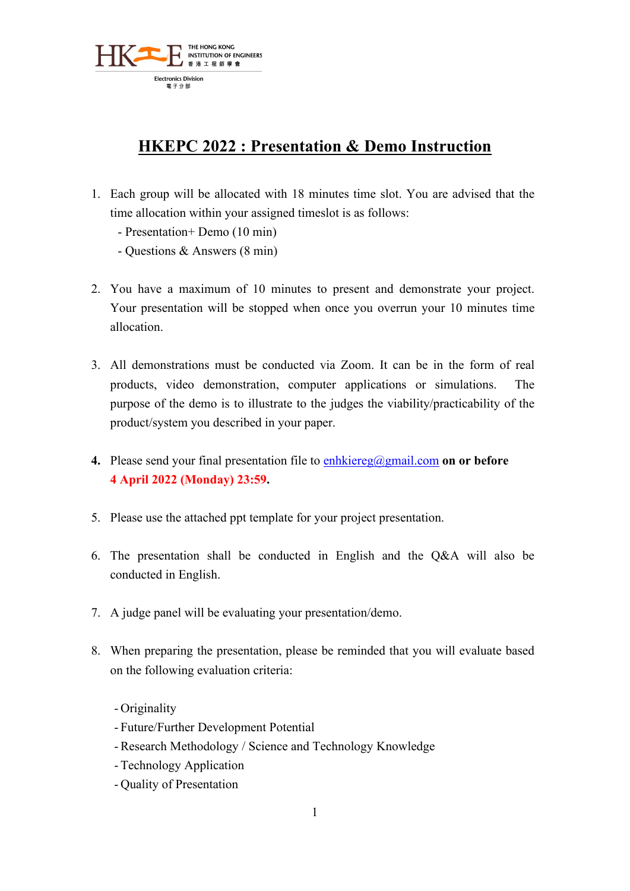

## **HKEPC 2022 : Presentation & Demo Instruction**

- 1. Each group will be allocated with 18 minutes time slot. You are advised that the time allocation within your assigned timeslot is as follows:
	- Presentation+ Demo (10 min)
	- Questions & Answers (8 min)
- 2. You have a maximum of 10 minutes to present and demonstrate your project. Your presentation will be stopped when once you overrun your 10 minutes time allocation.
- 3. All demonstrations must be conducted via Zoom. It can be in the form of real products, video demonstration, computer applications or simulations. The purpose of the demo is to illustrate to the judges the viability/practicability of the product/system you described in your paper.
- **4.** Please send your final presentation file to [enhkiereg@gmail.com](mailto:enhkiereg@gmail.com) **on or before 4 April 2022 (Monday) 23:59.**
- 5. Please use the attached ppt template for your project presentation.
- 6. The presentation shall be conducted in English and the Q&A will also be conducted in English.
- 7. A judge panel will be evaluating your presentation/demo.
- 8. When preparing the presentation, please be reminded that you will evaluate based on the following evaluation criteria:
	- Originality
	- Future/Further Development Potential
	- Research Methodology / Science and Technology Knowledge
	- Technology Application
	- Quality of Presentation